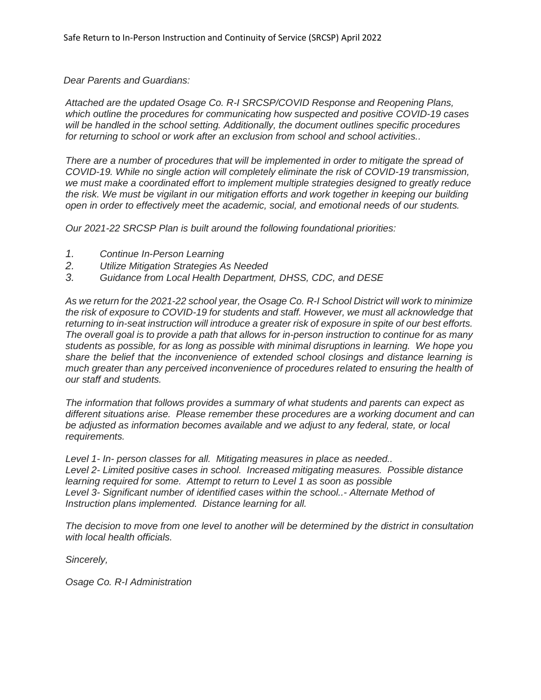*Dear Parents and Guardians:*

*Attached are the updated Osage Co. R-I SRCSP/COVID Response and Reopening Plans, which outline the procedures for communicating how suspected and positive COVID-19 cases will be handled in the school setting. Additionally, the document outlines specific procedures for returning to school or work after an exclusion from school and school activities..*

*There are a number of procedures that will be implemented in order to mitigate the spread of COVID-19. While no single action will completely eliminate the risk of COVID-19 transmission, we must make a coordinated effort to implement multiple strategies designed to greatly reduce the risk. We must be vigilant in our mitigation efforts and work together in keeping our building open in order to effectively meet the academic, social, and emotional needs of our students.* 

*Our 2021-22 SRCSP Plan is built around the following foundational priorities:*

- *1. Continue In-Person Learning*
- *2. Utilize Mitigation Strategies As Needed*
- *3. Guidance from Local Health Department, DHSS, CDC, and DESE*

*As we return for the 2021-22 school year, the Osage Co. R-I School District will work to minimize the risk of exposure to COVID-19 for students and staff. However, we must all acknowledge that returning to in-seat instruction will introduce a greater risk of exposure in spite of our best efforts. The overall goal is to provide a path that allows for in-person instruction to continue for as many students as possible, for as long as possible with minimal disruptions in learning. We hope you share the belief that the inconvenience of extended school closings and distance learning is much greater than any perceived inconvenience of procedures related to ensuring the health of our staff and students.* 

*The information that follows provides a summary of what students and parents can expect as different situations arise. Please remember these procedures are a working document and can be adjusted as information becomes available and we adjust to any federal, state, or local requirements.*

*Level 1- In- person classes for all. Mitigating measures in place as needed.. Level 2- Limited positive cases in school. Increased mitigating measures. Possible distance learning required for some. Attempt to return to Level 1 as soon as possible Level 3- Significant number of identified cases within the school..- Alternate Method of Instruction plans implemented. Distance learning for all.* 

*The decision to move from one level to another will be determined by the district in consultation with local health officials.* 

*Sincerely,*

*Osage Co. R-I Administration*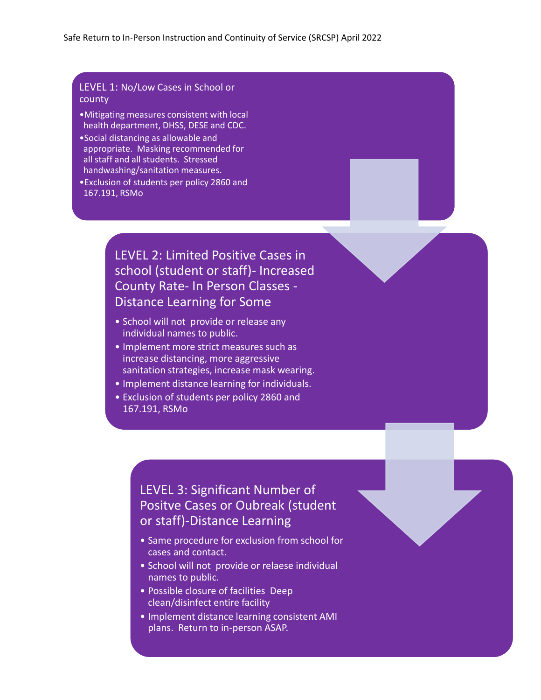# LEVEL 1: No/Low Cases in School or county

- •Mitigating measures consistent with local health department, DHSS, DESE and CDC.
- •Social distancing as allowable and appropriate. Masking recommended for all staff and all students. Stressed handwashing/sanitation measures.
- •Exclusion of students per policy 2860 and 167.191, RSMo

# LEVEL 2: Limited Positive Cases in school (student or staff)- Increased County Rate- In Person Classes - Distance Learning for Some

- School will not provide or release any individual names to public.
- Implement more strict measures such as increase distancing, more aggressive sanitation strategies, increase mask wearing.
- Implement distance learning for individuals.
- Exclusion of students per policy 2860 and 167.191, RSMo

# LEVEL 3: Significant Number of Positve Cases or Oubreak (student or staff)-Distance Learning

- Same procedure for exclusion from school for cases and contact.
- School will not provide or relaese individual names to public.
- Possible closure of facilities Deep clean/disinfect entire facility
- Implement distance learning consistent AMI plans. Return to in-person ASAP.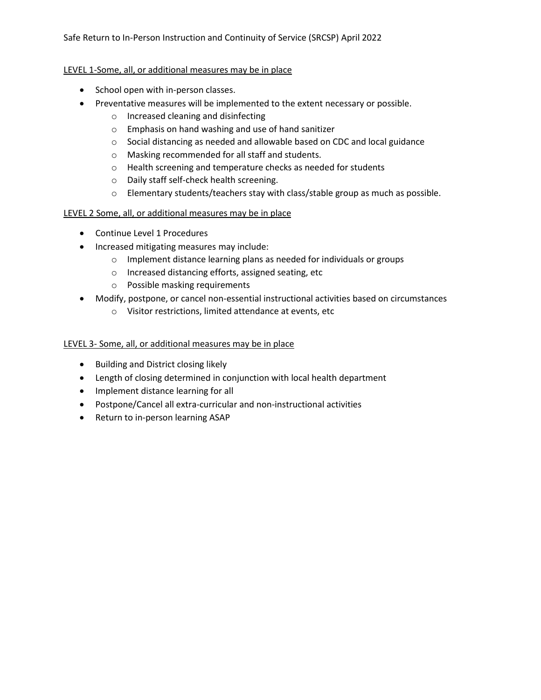## Safe Return to In-Person Instruction and Continuity of Service (SRCSP) April 2022

## LEVEL 1-Some, all, or additional measures may be in place

- School open with in-person classes.
- Preventative measures will be implemented to the extent necessary or possible.
	- o Increased cleaning and disinfecting
	- o Emphasis on hand washing and use of hand sanitizer
	- o Social distancing as needed and allowable based on CDC and local guidance
	- o Masking recommended for all staff and students.
	- o Health screening and temperature checks as needed for students
	- o Daily staff self-check health screening.
	- o Elementary students/teachers stay with class/stable group as much as possible.

# LEVEL 2 Some, all, or additional measures may be in place

- Continue Level 1 Procedures
- Increased mitigating measures may include:
	- o Implement distance learning plans as needed for individuals or groups
	- o Increased distancing efforts, assigned seating, etc
	- o Possible masking requirements
- Modify, postpone, or cancel non-essential instructional activities based on circumstances
	- o Visitor restrictions, limited attendance at events, etc

## LEVEL 3- Some, all, or additional measures may be in place

- Building and District closing likely
- Length of closing determined in conjunction with local health department
- Implement distance learning for all
- Postpone/Cancel all extra-curricular and non-instructional activities
- Return to in-person learning ASAP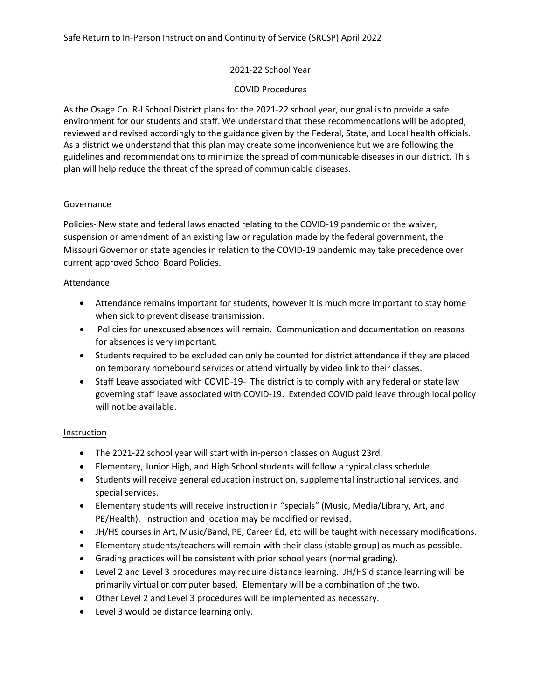#### 2021-22 School Year

#### COVID Procedures

As the Osage Co. R-I School District plans for the 2021-22 school year, our goal is to provide a safe environment for our students and staff. We understand that these recommendations will be adopted, reviewed and revised accordingly to the guidance given by the Federal, State, and Local health officials. As a district we understand that this plan may create some inconvenience but we are following the guidelines and recommendations to minimize the spread of communicable diseases in our district. This plan will help reduce the threat of the spread of communicable diseases.

#### **Governance**

Policies- New state and federal laws enacted relating to the COVID-19 pandemic or the waiver, suspension or amendment of an existing law or regulation made by the federal government, the Missouri Governor or state agencies in relation to the COVID-19 pandemic may take precedence over current approved School Board Policies.

#### Attendance

- Attendance remains important for students, however it is much more important to stay home when sick to prevent disease transmission.
- Policies for unexcused absences will remain. Communication and documentation on reasons for absences is very important.
- Students required to be excluded can only be counted for district attendance if they are placed on temporary homebound services or attend virtually by video link to their classes.
- Staff Leave associated with COVID-19- The district is to comply with any federal or state law governing staff leave associated with COVID-19. Extended COVID paid leave through local policy will not be available.

## **Instruction**

- The 2021-22 school year will start with in-person classes on August 23rd.
- Elementary, Junior High, and High School students will follow a typical class schedule.
- Students will receive general education instruction, supplemental instructional services, and special services.
- Elementary students will receive instruction in "specials" (Music, Media/Library, Art, and PE/Health). Instruction and location may be modified or revised.
- JH/HS courses in Art, Music/Band, PE, Career Ed, etc will be taught with necessary modifications.
- Elementary students/teachers will remain with their class (stable group) as much as possible.
- Grading practices will be consistent with prior school years (normal grading).
- Level 2 and Level 3 procedures may require distance learning. JH/HS distance learning will be primarily virtual or computer based. Elementary will be a combination of the two.
- Other Level 2 and Level 3 procedures will be implemented as necessary.
- Level 3 would be distance learning only.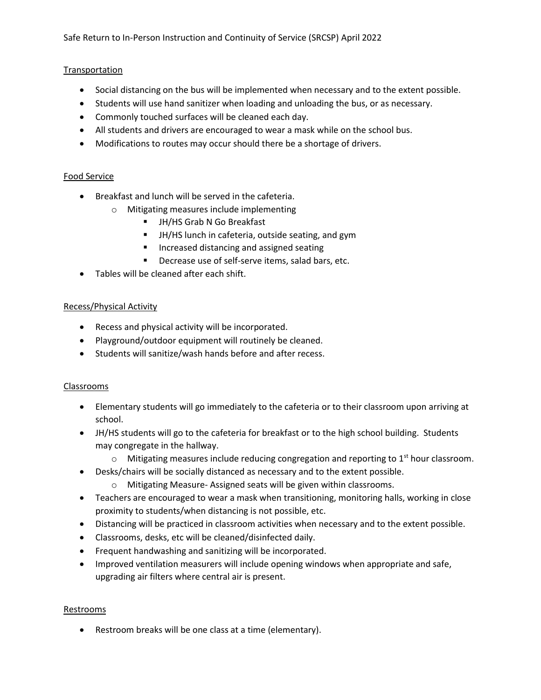## **Transportation**

- Social distancing on the bus will be implemented when necessary and to the extent possible.
- Students will use hand sanitizer when loading and unloading the bus, or as necessary.
- Commonly touched surfaces will be cleaned each day.
- All students and drivers are encouraged to wear a mask while on the school bus.
- Modifications to routes may occur should there be a shortage of drivers.

## Food Service

- Breakfast and lunch will be served in the cafeteria.
	- o Mitigating measures include implementing
		- JH/HS Grab N Go Breakfast
		- JH/HS lunch in cafeteria, outside seating, and gym
		- Increased distancing and assigned seating
		- Decrease use of self-serve items, salad bars, etc.
- Tables will be cleaned after each shift.

## Recess/Physical Activity

- Recess and physical activity will be incorporated.
- Playground/outdoor equipment will routinely be cleaned.
- Students will sanitize/wash hands before and after recess.

## Classrooms

- Elementary students will go immediately to the cafeteria or to their classroom upon arriving at school.
- JH/HS students will go to the cafeteria for breakfast or to the high school building. Students may congregate in the hallway.
	- $\circ$  Mitigating measures include reducing congregation and reporting to 1<sup>st</sup> hour classroom.
- Desks/chairs will be socially distanced as necessary and to the extent possible.
	- o Mitigating Measure- Assigned seats will be given within classrooms.
- Teachers are encouraged to wear a mask when transitioning, monitoring halls, working in close proximity to students/when distancing is not possible, etc.
- Distancing will be practiced in classroom activities when necessary and to the extent possible.
- Classrooms, desks, etc will be cleaned/disinfected daily.
- Frequent handwashing and sanitizing will be incorporated.
- Improved ventilation measurers will include opening windows when appropriate and safe, upgrading air filters where central air is present.

## Restrooms

• Restroom breaks will be one class at a time (elementary).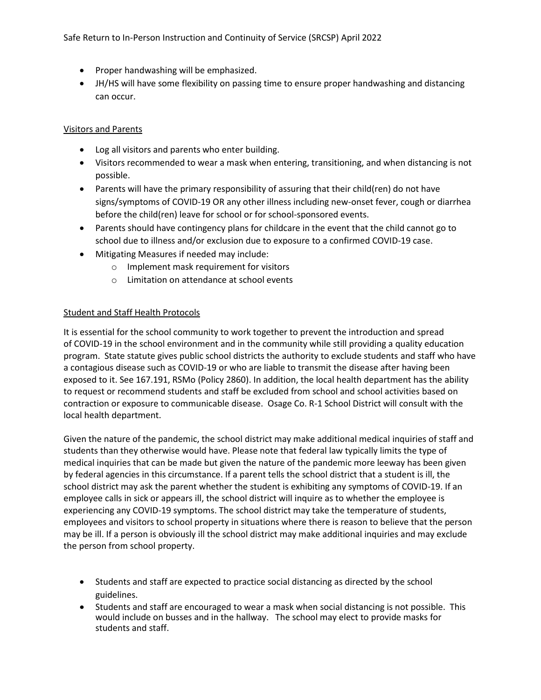- Proper handwashing will be emphasized.
- JH/HS will have some flexibility on passing time to ensure proper handwashing and distancing can occur.

## Visitors and Parents

- Log all visitors and parents who enter building.
- Visitors recommended to wear a mask when entering, transitioning, and when distancing is not possible.
- Parents will have the primary responsibility of assuring that their child(ren) do not have signs/symptoms of COVID-19 OR any other illness including new-onset fever, cough or diarrhea before the child(ren) leave for school or for school-sponsored events.
- Parents should have contingency plans for childcare in the event that the child cannot go to school due to illness and/or exclusion due to exposure to a confirmed COVID-19 case.
- Mitigating Measures if needed may include:
	- o Implement mask requirement for visitors
	- o Limitation on attendance at school events

## Student and Staff Health Protocols

It is essential for the school community to work together to prevent the introduction and spread of COVID-19 in the school environment and in the community while still providing a quality education program. State statute gives public school districts the authority to exclude students and staff who have a contagious disease such as COVID-19 or who are liable to transmit the disease after having been exposed to it. See 167.191, RSMo (Policy 2860). In addition, the local health department has the ability to request or recommend students and staff be excluded from school and school activities based on contraction or exposure to communicable disease. Osage Co. R-1 School District will consult with the local health department.

Given the nature of the pandemic, the school district may make additional medical inquiries of staff and students than they otherwise would have. Please note that federal law typically limits the type of medical inquiries that can be made but given the nature of the pandemic more leeway has been given by federal agencies in this circumstance. If a parent tells the school district that a student is ill, the school district may ask the parent whether the student is exhibiting any symptoms of COVID-19. If an employee calls in sick or appears ill, the school district will inquire as to whether the employee is experiencing any COVID-19 symptoms. The school district may take the temperature of students, employees and visitors to school property in situations where there is reason to believe that the person may be ill. If a person is obviously ill the school district may make additional inquiries and may exclude the person from school property.

- Students and staff are expected to practice social distancing as directed by the school guidelines.
- Students and staff are encouraged to wear a mask when social distancing is not possible. This would include on busses and in the hallway. The school may elect to provide masks for students and staff.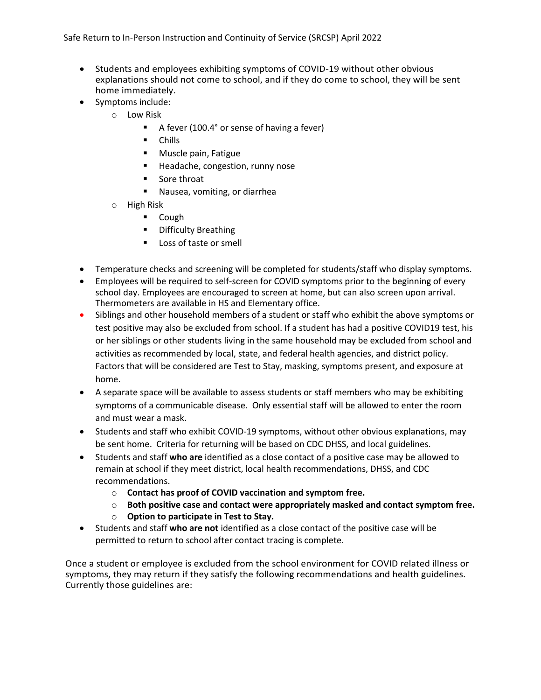Safe Return to In-Person Instruction and Continuity of Service (SRCSP) April 2022

- Students and employees exhibiting symptoms of COVID-19 without other obvious explanations should not come to school, and if they do come to school, they will be sent home immediately.
- Symptoms include:
	- o Low Risk
		- A fever (100.4° or sense of having a fever)
		- Chills
		- Muscle pain, Fatigue
		- Headache, congestion, runny nose
		- Sore throat
		- Nausea, vomiting, or diarrhea
	- o High Risk
		- Cough
		- Difficulty Breathing
		- Loss of taste or smell
- Temperature checks and screening will be completed for students/staff who display symptoms.
- Employees will be required to self-screen for COVID symptoms prior to the beginning of every school day. Employees are encouraged to screen at home, but can also screen upon arrival. Thermometers are available in HS and Elementary office.
- Siblings and other household members of a student or staff who exhibit the above symptoms or test positive may also be excluded from school. If a student has had a positive COVID19 test, his or her siblings or other students living in the same household may be excluded from school and activities as recommended by local, state, and federal health agencies, and district policy. Factors that will be considered are Test to Stay, masking, symptoms present, and exposure at home.
- A separate space will be available to assess students or staff members who may be exhibiting symptoms of a communicable disease. Only essential staff will be allowed to enter the room and must wear a mask.
- Students and staff who exhibit COVID-19 symptoms, without other obvious explanations, may be sent home. Criteria for returning will be based on CDC DHSS, and local guidelines.
- Students and staff **who are** identified as a close contact of a positive case may be allowed to remain at school if they meet district, local health recommendations, DHSS, and CDC recommendations.
	- o **Contact has proof of COVID vaccination and symptom free.**
	- o **Both positive case and contact were appropriately masked and contact symptom free.**
	- o **Option to participate in Test to Stay.**
- Students and staff **who are not** identified as a close contact of the positive case will be permitted to return to school after contact tracing is complete.

Once a student or employee is excluded from the school environment for COVID related illness or symptoms, they may return if they satisfy the following recommendations and health guidelines. Currently those guidelines are: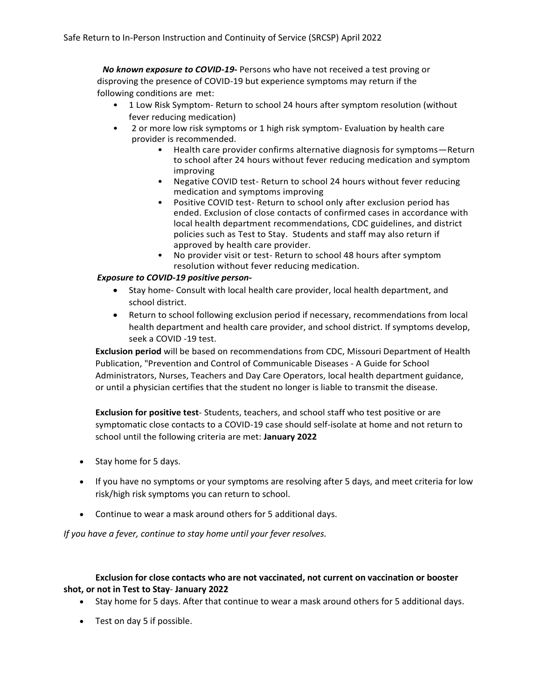*No known exposure to COVID-19-* Persons who have not received a test proving or disproving the presence of COVID-19 but experience symptoms may return if the following conditions are met:

- 1 Low Risk Symptom- Return to school 24 hours after symptom resolution (without fever reducing medication)
- 2 or more low risk symptoms or 1 high risk symptom- Evaluation by health care provider is recommended.
	- Health care provider confirms alternative diagnosis for symptoms—Return to school after 24 hours without fever reducing medication and symptom improving
	- Negative COVID test- Return to school 24 hours without fever reducing medication and symptoms improving
	- Positive COVID test- Return to school only after exclusion period has ended. Exclusion of close contacts of confirmed cases in accordance with local health department recommendations, CDC guidelines, and district policies such as Test to Stay. Students and staff may also return if approved by health care provider.
	- No provider visit or test- Return to school 48 hours after symptom resolution without fever reducing medication.

## *Exposure to COVID-19 positive person-*

- Stay home- Consult with local health care provider, local health department, and school district.
- Return to school following exclusion period if necessary, recommendations from local health department and health care provider, and school district. If symptoms develop, seek a COVID -19 test.

**Exclusion period** will be based on recommendations from CDC, Missouri Department of Health Publication, "Prevention and Control of Communicable Diseases - A Guide for School Administrators, Nurses, Teachers and Day Care Operators, local health department guidance, or until a physician certifies that the student no longer is liable to transmit the disease.

**Exclusion for positive test**- Students, teachers, and school staff who test positive or are symptomatic close contacts to a COVID-19 case should self-isolate at home and not return to school until the following criteria are met: **January 2022**

- Stay home for 5 days.
- If you have no symptoms or your symptoms are resolving after 5 days, and meet criteria for low risk/high risk symptoms you can return to school.
- Continue to wear a mask around others for 5 additional days.

*If you have a fever, continue to stay home until your fever resolves.*

## **Exclusion for close contacts who are not vaccinated, not current on vaccination or booster shot, or not in Test to Stay**- **January 2022**

- Stay home for 5 days. After that continue to wear a mask around others for 5 additional days.
- Test on day 5 if possible.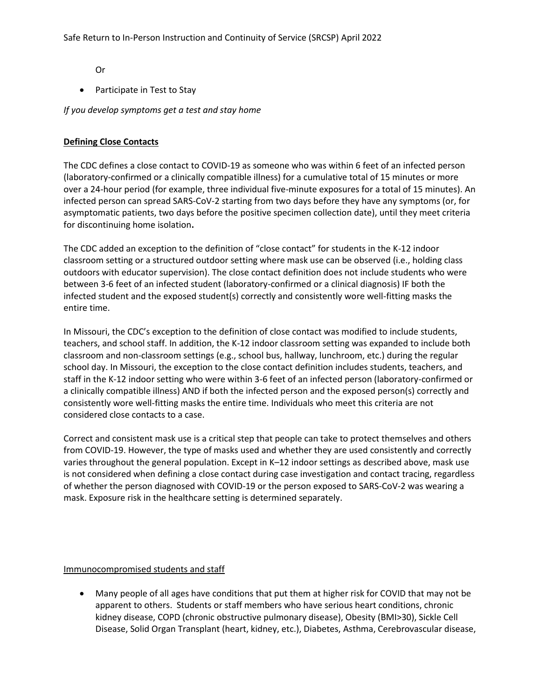Or

• Participate in Test to Stay

*If you develop symptoms get a test and stay home*

## **Defining Close Contacts**

The CDC defines a close contact to COVID-19 as someone who was within 6 feet of an infected person (laboratory-confirmed or a clinically compatible illness) for a cumulative total of 15 minutes or more over a 24-hour period (for example, three individual five-minute exposures for a total of 15 minutes). An infected person can spread SARS-CoV-2 starting from two days before they have any symptoms (or, for asymptomatic patients, two days before the positive specimen collection date), until they meet criteria for discontinuing home isolation**.**

The CDC added an exception to the definition of "close contact" for students in the K-12 indoor classroom setting or a structured outdoor setting where mask use can be observed (i.e., holding class outdoors with educator supervision). The close contact definition does not include students who were between 3-6 feet of an infected student (laboratory-confirmed or a clinical diagnosis) IF both the infected student and the exposed student(s) correctly and consistently wore well-fitting masks the entire time.

In Missouri, the CDC's exception to the definition of close contact was modified to include students, teachers, and school staff. In addition, the K-12 indoor classroom setting was expanded to include both classroom and non-classroom settings (e.g., school bus, hallway, lunchroom, etc.) during the regular school day. In Missouri, the exception to the close contact definition includes students, teachers, and staff in the K-12 indoor setting who were within 3-6 feet of an infected person (laboratory-confirmed or a clinically compatible illness) AND if both the infected person and the exposed person(s) correctly and consistently wore well-fitting masks the entire time. Individuals who meet this criteria are not considered close contacts to a case.

Correct and consistent mask use is a critical step that people can take to protect themselves and others from COVID-19. However, the type of masks used and whether they are used consistently and correctly varies throughout the general population. Except in K–12 indoor settings as described above, mask use is not considered when defining a close contact during case investigation and contact tracing, regardless of whether the person diagnosed with COVID-19 or the person exposed to SARS-CoV-2 was wearing a mask. Exposure risk in the healthcare setting is determined separately.

## Immunocompromised students and staff

• Many people of all ages have conditions that put them at higher risk for COVID that may not be apparent to others. Students or staff members who have serious heart conditions, chronic kidney disease, COPD (chronic obstructive pulmonary disease), Obesity (BMI>30), Sickle Cell Disease, Solid Organ Transplant (heart, kidney, etc.), Diabetes, Asthma, Cerebrovascular disease,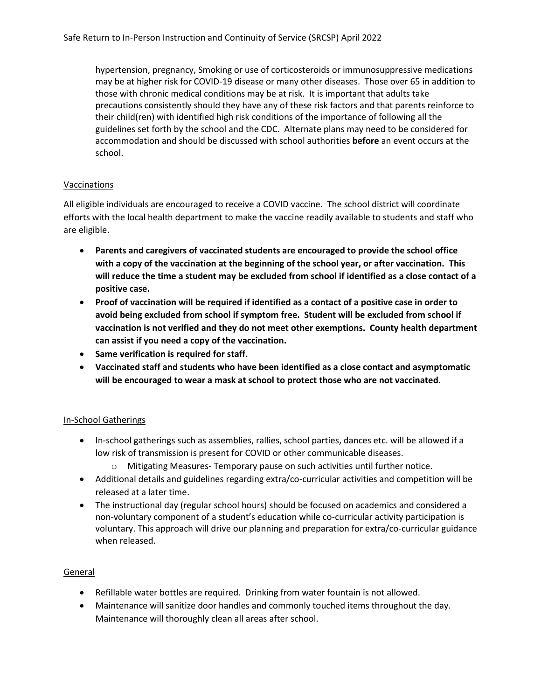hypertension, pregnancy, Smoking or use of corticosteroids or immunosuppressive medications may be at higher risk for COVID-19 disease or many other diseases. Those over 65 in addition to those with chronic medical conditions may be at risk. It is important that adults take precautions consistently should they have any of these risk factors and that parents reinforce to their child(ren) with identified high risk conditions of the importance of following all the guidelines set forth by the school and the CDC. Alternate plans may need to be considered for accommodation and should be discussed with school authorities **before** an event occurs at the school.

## Vaccinations

All eligible individuals are encouraged to receive a COVID vaccine. The school district will coordinate efforts with the local health department to make the vaccine readily available to students and staff who are eligible.

- **Parents and caregivers of vaccinated students are encouraged to provide the school office with a copy of the vaccination at the beginning of the school year, or after vaccination. This will reduce the time a student may be excluded from school if identified as a close contact of a positive case.**
- **Proof of vaccination will be required if identified as a contact of a positive case in order to avoid being excluded from school if symptom free. Student will be excluded from school if vaccination is not verified and they do not meet other exemptions. County health department can assist if you need a copy of the vaccination.**
- **Same verification is required for staff.**
- **Vaccinated staff and students who have been identified as a close contact and asymptomatic will be encouraged to wear a mask at school to protect those who are not vaccinated.**

## In-School Gatherings

- In-school gatherings such as assemblies, rallies, school parties, dances etc. will be allowed if a low risk of transmission is present for COVID or other communicable diseases.
	- o Mitigating Measures- Temporary pause on such activities until further notice.
- Additional details and guidelines regarding extra/co-curricular activities and competition will be released at a later time.
- The instructional day (regular school hours) should be focused on academics and considered a non-voluntary component of a student's education while co-curricular activity participation is voluntary. This approach will drive our planning and preparation for extra/co-curricular guidance when released.

## General

- Refillable water bottles are required. Drinking from water fountain is not allowed.
- Maintenance will sanitize door handles and commonly touched items throughout the day. Maintenance will thoroughly clean all areas after school.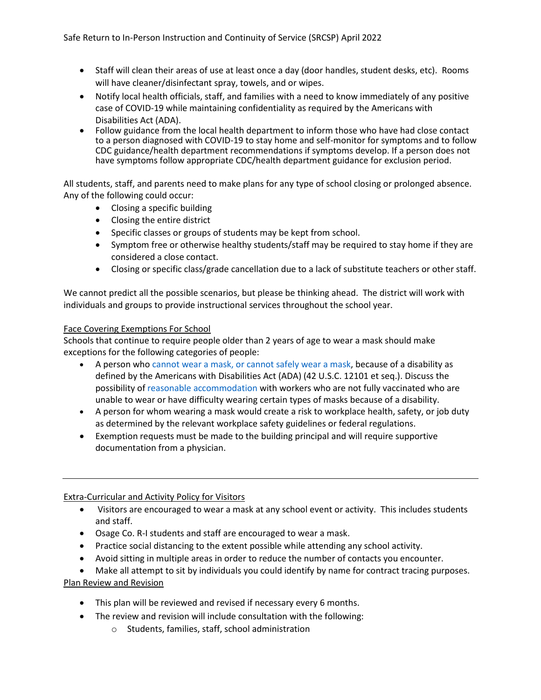- Staff will clean their areas of use at least once a day (door handles, student desks, etc). Rooms will have cleaner/disinfectant spray, towels, and or wipes.
- Notify local health officials, staff, and families with a need to know immediately of any positive case of COVID-19 while maintaining confidentiality as required by the Americans with Disabilities Act (ADA).
- Follow guidance from the local health department to inform those who have had [close contact](https://www.cdc.gov/coronavirus/2019-ncov/php/public-health-recommendations.html)  to a person diagnosed with COVID-19 to stay home and self-monitor for symptoms and to follow [CDC guidance/health department recommendations](https://www.cdc.gov/coronavirus/2019-ncov/if-you-are-sick/steps-when-sick.html) if symptoms develop. If a person does not have symptoms follow appropriate CDC/health department guidance for exclusion period.

All students, staff, and parents need to make plans for any type of school closing or prolonged absence. Any of the following could occur:

- Closing a specific building
- Closing the entire district
- Specific classes or groups of students may be kept from school.
- Symptom free or otherwise healthy students/staff may be required to stay home if they are considered a close contact.
- Closing or specific class/grade cancellation due to a lack of substitute teachers or other staff.

We cannot predict all the possible scenarios, but please be thinking ahead. The district will work with individuals and groups to provide instructional services throughout the school year.

## Face Covering Exemptions For School

Schools that continue to require people older than 2 years of age to wear a mask should make exceptions for the following categories of people:

- A person who [cannot wear a mask, or cannot safely wear a mask,](https://www.cdc.gov/coronavirus/2019-ncov/prevent-getting-sick/cloth-face-cover-guidance.html#anchor_1619804600020) because of a disability as defined by the Americans with Disabilities Act (ADA) (42 U.S.C. 12101 et seq.). Discuss the possibility of [reasonable accommodation](https://www.eeoc.gov/wysk/what-you-should-know-about-covid-19-and-ada-rehabilitation-act-and-other-eeo-laws) with workers who are not fully vaccinated who are unable to wear or have difficulty wearing certain types of masks because of a disability.
- A person for whom wearing a mask would create a risk to workplace health, safety, or job duty as determined by the relevant workplace safety guidelines or federal regulations.
- Exemption requests must be made to the building principal and will require supportive documentation from a physician.

# Extra-Curricular and Activity Policy for Visitors

- Visitors are encouraged to wear a mask at any school event or activity. This includes students and staff.
- Osage Co. R-I students and staff are encouraged to wear a mask.
- Practice social distancing to the extent possible while attending any school activity.
- Avoid sitting in multiple areas in order to reduce the number of contacts you encounter.

• Make all attempt to sit by individuals you could identify by name for contract tracing purposes. Plan Review and Revision

- This plan will be reviewed and revised if necessary every 6 months.
- The review and revision will include consultation with the following:
	- o Students, families, staff, school administration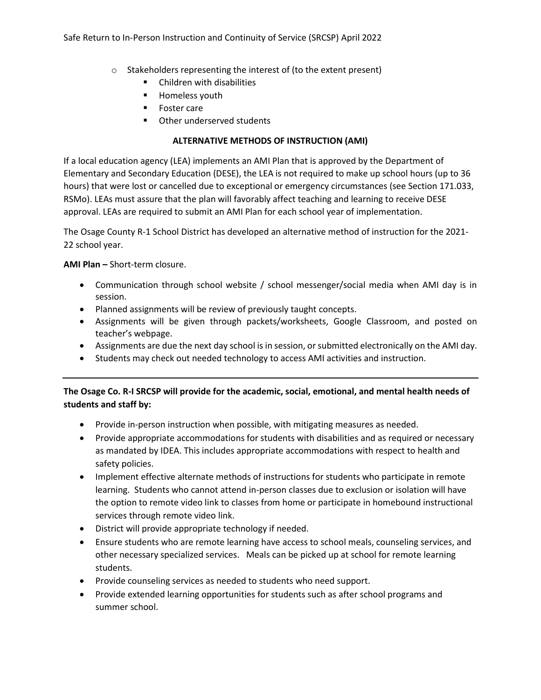- o Stakeholders representing the interest of (to the extent present)
	- Children with disabilities
	- Homeless youth
	- Foster care
	- Other underserved students

## **ALTERNATIVE METHODS OF INSTRUCTION (AMI)**

If a local education agency (LEA) implements an AMI Plan that is approved by the Department of Elementary and Secondary Education (DESE), the LEA is not required to make up school hours (up to 36 hours) that were lost or cancelled due to exceptional or emergency circumstances (see Section 171.033, RSMo). LEAs must assure that the plan will favorably affect teaching and learning to receive DESE approval. LEAs are required to submit an AMI Plan for each school year of implementation.

The Osage County R-1 School District has developed an alternative method of instruction for the 2021- 22 school year.

**AMI Plan –** Short-term closure.

- Communication through school website / school messenger/social media when AMI day is in session.
- Planned assignments will be review of previously taught concepts.
- Assignments will be given through packets/worksheets, Google Classroom, and posted on teacher's webpage.
- Assignments are due the next day school is in session, or submitted electronically on the AMI day.
- Students may check out needed technology to access AMI activities and instruction.

# **The Osage Co. R-I SRCSP will provide for the academic, social, emotional, and mental health needs of students and staff by:**

- Provide in-person instruction when possible, with mitigating measures as needed.
- Provide appropriate accommodations for students with disabilities and as required or necessary as mandated by IDEA. This includes appropriate accommodations with respect to health and safety policies.
- Implement effective alternate methods of instructions for students who participate in remote learning. Students who cannot attend in-person classes due to exclusion or isolation will have the option to remote video link to classes from home or participate in homebound instructional services through remote video link.
- District will provide appropriate technology if needed.
- Ensure students who are remote learning have access to school meals, counseling services, and other necessary specialized services. Meals can be picked up at school for remote learning students.
- Provide counseling services as needed to students who need support.
- Provide extended learning opportunities for students such as after school programs and summer school.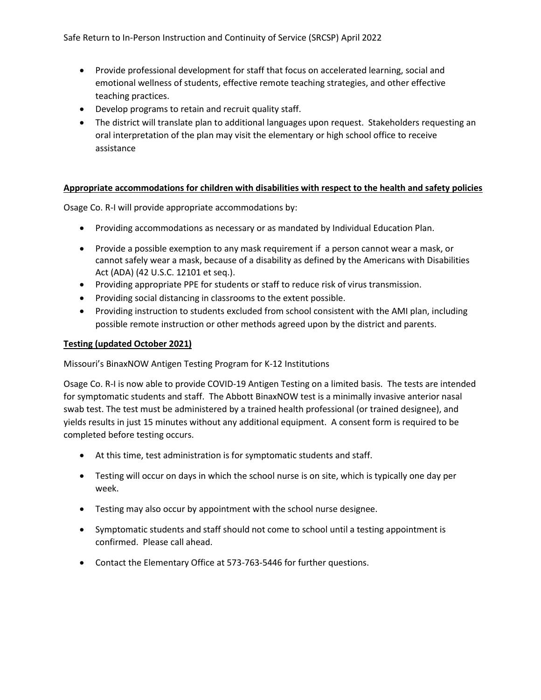- Provide professional development for staff that focus on accelerated learning, social and emotional wellness of students, effective remote teaching strategies, and other effective teaching practices.
- Develop programs to retain and recruit quality staff.
- The district will translate plan to additional languages upon request. Stakeholders requesting an oral interpretation of the plan may visit the elementary or high school office to receive assistance

## **Appropriate accommodations for children with disabilities with respect to the health and safety policies**

Osage Co. R-I will provide appropriate accommodations by:

- Providing accommodations as necessary or as mandated by Individual Education Plan.
- Provide a possible exemption to any mask requirement if a person [cannot wear a mask, or](https://www.cdc.gov/coronavirus/2019-ncov/prevent-getting-sick/cloth-face-cover-guidance.html#anchor_1619804600020)  [cannot safely wear a mask,](https://www.cdc.gov/coronavirus/2019-ncov/prevent-getting-sick/cloth-face-cover-guidance.html#anchor_1619804600020) because of a disability as defined by the Americans with Disabilities Act (ADA) (42 U.S.C. 12101 et seq.).
- Providing appropriate PPE for students or staff to reduce risk of virus transmission.
- Providing social distancing in classrooms to the extent possible.
- Providing instruction to students excluded from school consistent with the AMI plan, including possible remote instruction or other methods agreed upon by the district and parents.

## **Testing (updated October 2021)**

Missouri's BinaxNOW Antigen Testing Program for K-12 Institutions

Osage Co. R-I is now able to provide COVID-19 Antigen Testing on a limited basis. The tests are intended for symptomatic students and staff. The Abbott BinaxNOW test is a minimally invasive anterior nasal swab test. The test must be administered by a trained health professional (or trained designee), and yields results in just 15 minutes without any additional equipment. A consent form is required to be completed before testing occurs.

- At this time, test administration is for symptomatic students and staff.
- Testing will occur on days in which the school nurse is on site, which is typically one day per week.
- Testing may also occur by appointment with the school nurse designee.
- Symptomatic students and staff should not come to school until a testing appointment is confirmed. Please call ahead.
- Contact the Elementary Office at 573-763-5446 for further questions.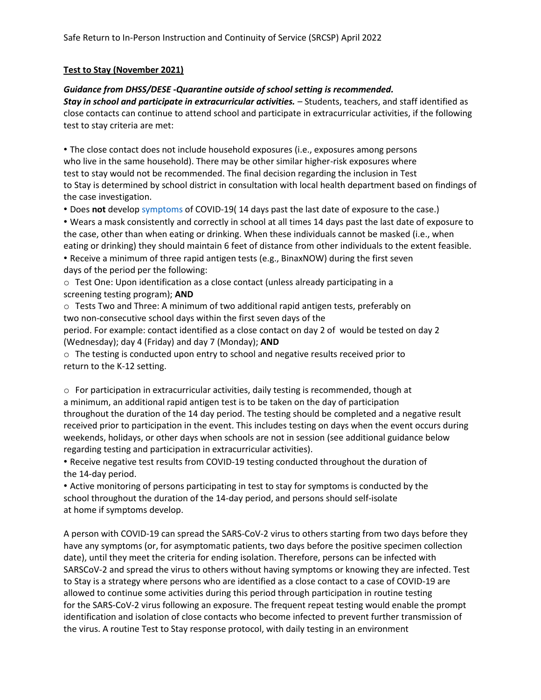#### **Test to Stay (November 2021)**

#### *Guidance from DHSS/DESE -Quarantine outside of school setting is recommended.*

*Stay in school and participate in extracurricular activities. –* Students, teachers, and staff identified as close contacts can continue to attend school and participate in extracurricular activities, if the following test to stay criteria are met:

• The close contact does not include household exposures (i.e., exposures among persons who live in the same household). There may be other similar higher-risk exposures where test to stay would not be recommended. The final decision regarding the inclusion in Test to Stay is determined by school district in consultation with local health department based on findings of the case investigation.

• Does **not** develop symptoms of COVID-19( 14 days past the last date of exposure to the case.)

• Wears a mask consistently and correctly in school at all times 14 days past the last date of exposure to the case, other than when eating or drinking. When these individuals cannot be masked (i.e., when eating or drinking) they should maintain 6 feet of distance from other individuals to the extent feasible. • Receive a minimum of three rapid antigen tests (e.g., BinaxNOW) during the first seven

days of the period per the following:

o Test One: Upon identification as a close contact (unless already participating in a screening testing program); **AND**

o Tests Two and Three: A minimum of two additional rapid antigen tests, preferably on two non-consecutive school days within the first seven days of the

period. For example: contact identified as a close contact on day 2 of would be tested on day 2 (Wednesday); day 4 (Friday) and day 7 (Monday); **AND**

 $\circ$  The testing is conducted upon entry to school and negative results received prior to return to the K-12 setting.

o For participation in extracurricular activities, daily testing is recommended, though at a minimum, an additional rapid antigen test is to be taken on the day of participation throughout the duration of the 14 day period. The testing should be completed and a negative result received prior to participation in the event. This includes testing on days when the event occurs during weekends, holidays, or other days when schools are not in session (see additional guidance below regarding testing and participation in extracurricular activities).

• Receive negative test results from COVID-19 testing conducted throughout the duration of the 14-day period.

• Active monitoring of persons participating in test to stay for symptoms is conducted by the school throughout the duration of the 14-day period, and persons should self-isolate at home if symptoms develop.

A person with COVID-19 can spread the SARS-CoV-2 virus to others starting from two days before they have any symptoms (or, for asymptomatic patients, two days before the positive specimen collection date), until they meet the criteria for ending isolation. Therefore, persons can be infected with SARSCoV-2 and spread the virus to others without having symptoms or knowing they are infected. Test to Stay is a strategy where persons who are identified as a close contact to a case of COVID-19 are allowed to continue some activities during this period through participation in routine testing for the SARS-CoV-2 virus following an exposure. The frequent repeat testing would enable the prompt identification and isolation of close contacts who become infected to prevent further transmission of the virus. A routine Test to Stay response protocol, with daily testing in an environment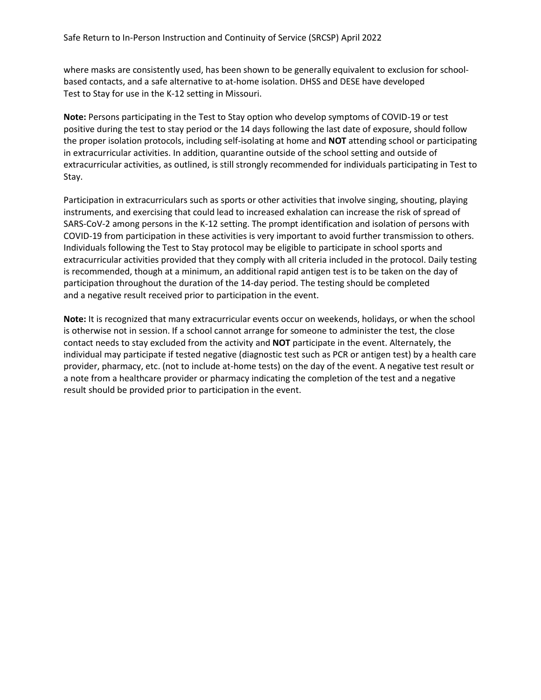where masks are consistently used, has been shown to be generally equivalent to exclusion for schoolbased contacts, and a safe alternative to at-home isolation. DHSS and DESE have developed Test to Stay for use in the K-12 setting in Missouri.

**Note:** Persons participating in the Test to Stay option who develop symptoms of COVID-19 or test positive during the test to stay period or the 14 days following the last date of exposure, should follow the proper isolation protocols, including self-isolating at home and **NOT** attending school or participating in extracurricular activities. In addition, quarantine outside of the school setting and outside of extracurricular activities, as outlined, is still strongly recommended for individuals participating in Test to Stay.

Participation in extracurriculars such as sports or other activities that involve singing, shouting, playing instruments, and exercising that could lead to increased exhalation can increase the risk of spread of SARS-CoV-2 among persons in the K-12 setting. The prompt identification and isolation of persons with COVID-19 from participation in these activities is very important to avoid further transmission to others. Individuals following the Test to Stay protocol may be eligible to participate in school sports and extracurricular activities provided that they comply with all criteria included in the protocol. Daily testing is recommended, though at a minimum, an additional rapid antigen test is to be taken on the day of participation throughout the duration of the 14-day period. The testing should be completed and a negative result received prior to participation in the event.

**Note:** It is recognized that many extracurricular events occur on weekends, holidays, or when the school is otherwise not in session. If a school cannot arrange for someone to administer the test, the close contact needs to stay excluded from the activity and **NOT** participate in the event. Alternately, the individual may participate if tested negative (diagnostic test such as PCR or antigen test) by a health care provider, pharmacy, etc. (not to include at-home tests) on the day of the event. A negative test result or a note from a healthcare provider or pharmacy indicating the completion of the test and a negative result should be provided prior to participation in the event.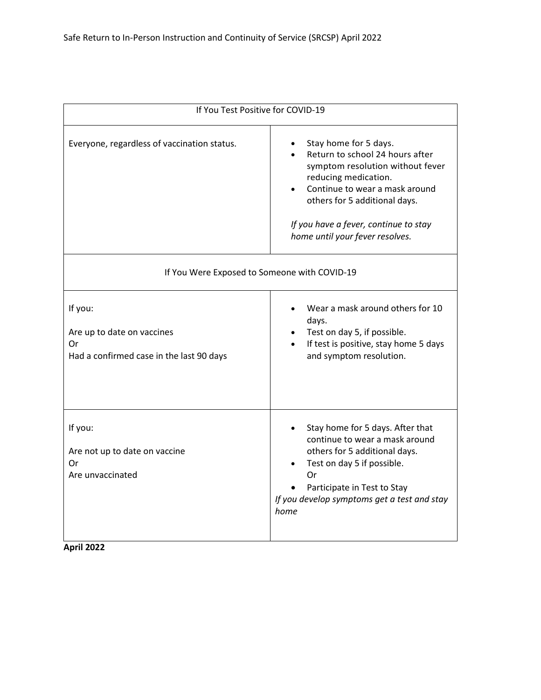| If You Test Positive for COVID-19                                                       |                                                                                                                                                                                                                                                                     |  |  |  |
|-----------------------------------------------------------------------------------------|---------------------------------------------------------------------------------------------------------------------------------------------------------------------------------------------------------------------------------------------------------------------|--|--|--|
| Everyone, regardless of vaccination status.                                             | Stay home for 5 days.<br>Return to school 24 hours after<br>symptom resolution without fever<br>reducing medication.<br>Continue to wear a mask around<br>others for 5 additional days.<br>If you have a fever, continue to stay<br>home until your fever resolves. |  |  |  |
| If You Were Exposed to Someone with COVID-19                                            |                                                                                                                                                                                                                                                                     |  |  |  |
| If you:<br>Are up to date on vaccines<br>Or<br>Had a confirmed case in the last 90 days | Wear a mask around others for 10<br>days.<br>Test on day 5, if possible.<br>If test is positive, stay home 5 days<br>and symptom resolution.                                                                                                                        |  |  |  |
| If you:<br>Are not up to date on vaccine<br>Or<br>Are unvaccinated                      | Stay home for 5 days. After that<br>continue to wear a mask around<br>others for 5 additional days.<br>Test on day 5 if possible.<br>Or<br>Participate in Test to Stay<br>If you develop symptoms get a test and stay<br>home                                       |  |  |  |

**April 2022**